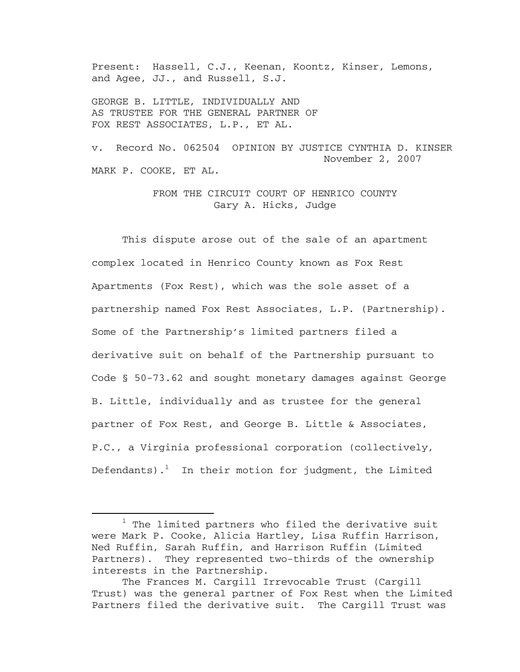Present: Hassell, C.J., Keenan, Koontz, Kinser, Lemons, and Agee, JJ., and Russell, S.J.

GEORGE B. LITTLE, INDIVIDUALLY AND AS TRUSTEE FOR THE GENERAL PARTNER OF FOX REST ASSOCIATES, L.P., ET AL.

v. Record No. 062504 OPINION BY JUSTICE CYNTHIA D. KINSER November 2, 2007 MARK P. COOKE, ET AL.

> FROM THE CIRCUIT COURT OF HENRICO COUNTY Gary A. Hicks, Judge

 This dispute arose out of the sale of an apartment complex located in Henrico County known as Fox Rest Apartments (Fox Rest), which was the sole asset of a partnership named Fox Rest Associates, L.P. (Partnership). Some of the Partnership's limited partners filed a derivative suit on behalf of the Partnership pursuant to Code § 50-73.62 and sought monetary damages against George B. Little, individually and as trustee for the general partner of Fox Rest, and George B. Little & Associates, P.C., a Virginia professional corporation (collectively, Defendants).<sup>1</sup> In their motion for judgment, the Limited

<sup>&</sup>lt;u>1</u>  $1$  The limited partners who filed the derivative suit were Mark P. Cooke, Alicia Hartley, Lisa Ruffin Harrison, Ned Ruffin, Sarah Ruffin, and Harrison Ruffin (Limited Partners). They represented two-thirds of the ownership interests in the Partnership.

The Frances M. Cargill Irrevocable Trust (Cargill Trust) was the general partner of Fox Rest when the Limited Partners filed the derivative suit. The Cargill Trust was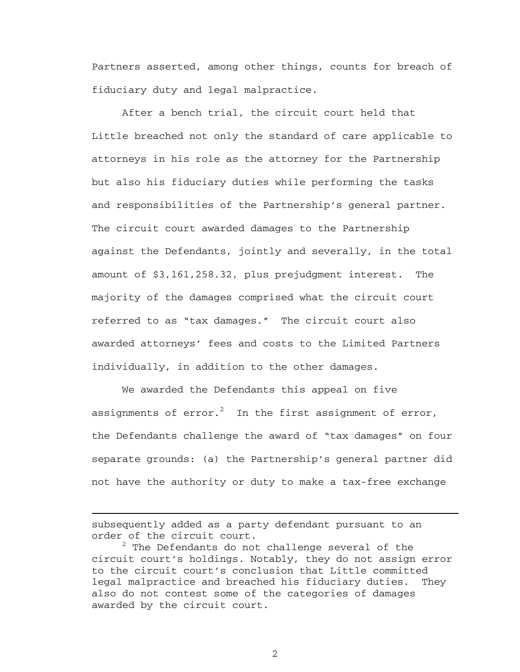Partners asserted, among other things, counts for breach of fiduciary duty and legal malpractice.

After a bench trial, the circuit court held that Little breached not only the standard of care applicable to attorneys in his role as the attorney for the Partnership but also his fiduciary duties while performing the tasks and responsibilities of the Partnership's general partner. The circuit court awarded damages to the Partnership against the Defendants, jointly and severally, in the total amount of \$3,161,258.32, plus prejudgment interest. The majority of the damages comprised what the circuit court referred to as "tax damages." The circuit court also awarded attorneys' fees and costs to the Limited Partners individually, in addition to the other damages.

 We awarded the Defendants this appeal on five assignments of error. $^2$  In the first assignment of error, the Defendants challenge the award of "tax damages" on four separate grounds: (a) the Partnership's general partner did not have the authority or duty to make a tax-free exchange

subsequently added as a party defendant pursuant to an order of the circuit court.

i

 $^2$  The Defendants do not challenge several of the circuit court's holdings. Notably, they do not assign error to the circuit court's conclusion that Little committed legal malpractice and breached his fiduciary duties. They also do not contest some of the categories of damages awarded by the circuit court.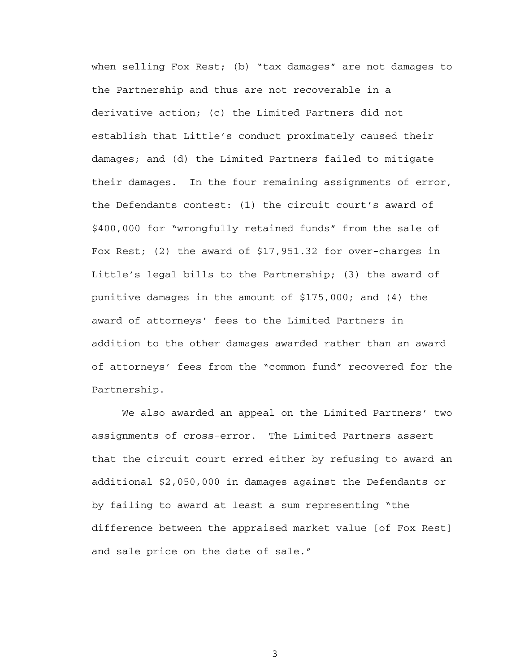when selling Fox Rest; (b) "tax damages" are not damages to the Partnership and thus are not recoverable in a derivative action; (c) the Limited Partners did not establish that Little's conduct proximately caused their damages; and (d) the Limited Partners failed to mitigate their damages. In the four remaining assignments of error, the Defendants contest: (1) the circuit court's award of \$400,000 for "wrongfully retained funds" from the sale of Fox Rest; (2) the award of \$17,951.32 for over-charges in Little's legal bills to the Partnership; (3) the award of punitive damages in the amount of \$175,000; and (4) the award of attorneys' fees to the Limited Partners in addition to the other damages awarded rather than an award of attorneys' fees from the "common fund" recovered for the Partnership.

We also awarded an appeal on the Limited Partners' two assignments of cross-error. The Limited Partners assert that the circuit court erred either by refusing to award an additional \$2,050,000 in damages against the Defendants or by failing to award at least a sum representing "the difference between the appraised market value [of Fox Rest] and sale price on the date of sale."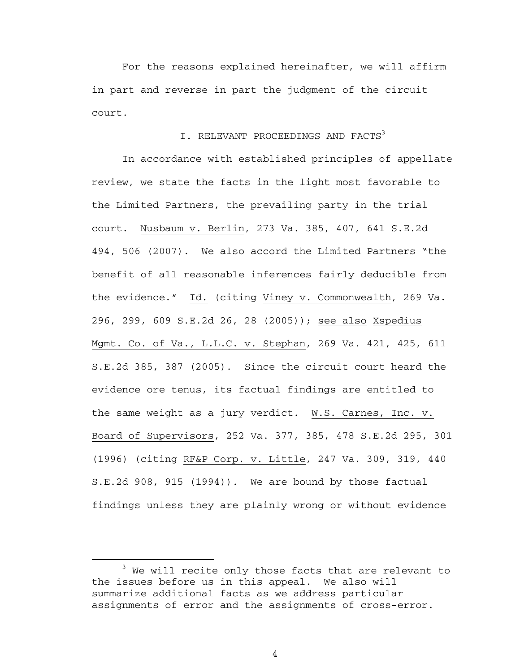For the reasons explained hereinafter, we will affirm in part and reverse in part the judgment of the circuit court.

# I. RELEVANT PROCEEDINGS AND FACTS<sup>3</sup>

In accordance with established principles of appellate review, we state the facts in the light most favorable to the Limited Partners, the prevailing party in the trial court. Nusbaum v. Berlin, 273 Va. 385, 407, 641 S.E.2d 494, 506 (2007). We also accord the Limited Partners "the benefit of all reasonable inferences fairly deducible from the evidence." Id. (citing Viney v. Commonwealth, 269 Va. 296, 299, 609 S.E.2d 26, 28 (2005)); see also Xspedius Mgmt. Co. of Va., L.L.C. v. Stephan, 269 Va. 421, 425, 611 S.E.2d 385, 387 (2005). Since the circuit court heard the evidence ore tenus, its factual findings are entitled to the same weight as a jury verdict. W.S. Carnes, Inc. v. Board of Supervisors, 252 Va. 377, 385, 478 S.E.2d 295, 301 (1996) (citing RF&P Corp. v. Little, 247 Va. 309, 319, 440 S.E.2d 908, 915 (1994)). We are bound by those factual findings unless they are plainly wrong or without evidence

 $\overline{\phantom{a}}$  3  $3$  We will recite only those facts that are relevant to the issues before us in this appeal. We also will summarize additional facts as we address particular assignments of error and the assignments of cross-error.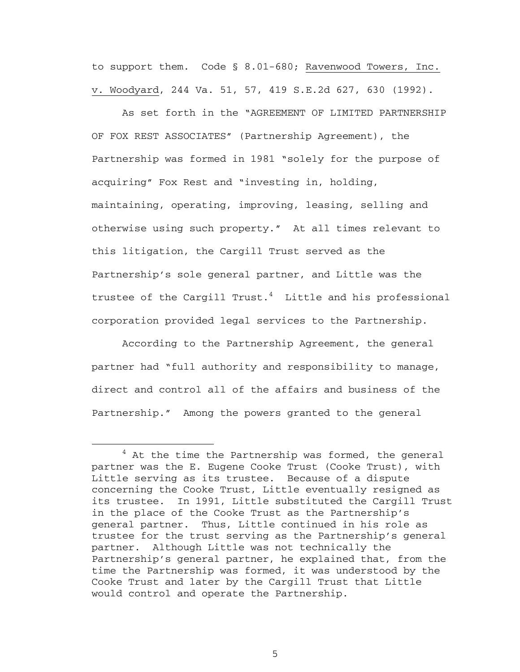to support them. Code § 8.01-680; Ravenwood Towers, Inc. v. Woodyard, 244 Va. 51, 57, 419 S.E.2d 627, 630 (1992).

As set forth in the "AGREEMENT OF LIMITED PARTNERSHIP OF FOX REST ASSOCIATES" (Partnership Agreement), the Partnership was formed in 1981 "solely for the purpose of acquiring" Fox Rest and "investing in, holding, maintaining, operating, improving, leasing, selling and otherwise using such property." At all times relevant to this litigation, the Cargill Trust served as the Partnership's sole general partner, and Little was the trustee of the Cargill Trust.<sup>4</sup> Little and his professional corporation provided legal services to the Partnership.

According to the Partnership Agreement, the general partner had "full authority and responsibility to manage, direct and control all of the affairs and business of the Partnership." Among the powers granted to the general

 $\overline{4}$  $4$  At the time the Partnership was formed, the general partner was the E. Eugene Cooke Trust (Cooke Trust), with Little serving as its trustee. Because of a dispute concerning the Cooke Trust, Little eventually resigned as its trustee. In 1991, Little substituted the Cargill Trust in the place of the Cooke Trust as the Partnership's general partner. Thus, Little continued in his role as trustee for the trust serving as the Partnership's general partner. Although Little was not technically the Partnership's general partner, he explained that, from the time the Partnership was formed, it was understood by the Cooke Trust and later by the Cargill Trust that Little would control and operate the Partnership.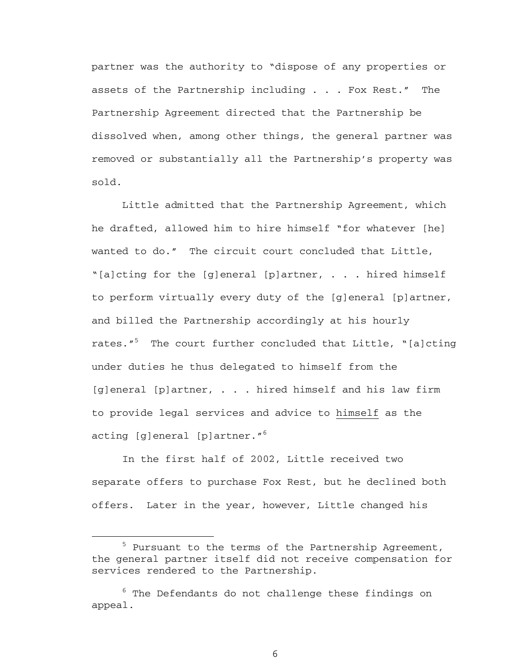partner was the authority to "dispose of any properties or assets of the Partnership including . . . Fox Rest." The Partnership Agreement directed that the Partnership be dissolved when, among other things, the general partner was removed or substantially all the Partnership's property was sold.

Little admitted that the Partnership Agreement, which he drafted, allowed him to hire himself "for whatever [he] wanted to do." The circuit court concluded that Little, "[a]cting for the [g]eneral [p]artner, . . . hired himself to perform virtually every duty of the [g]eneral [p]artner, and billed the Partnership accordingly at his hourly rates."<sup>5</sup> The court further concluded that Little, "[a]cting under duties he thus delegated to himself from the [g]eneral [p]artner, . . . hired himself and his law firm to provide legal services and advice to himself as the acting [g]eneral [p]artner."<sup>6</sup>

In the first half of 2002, Little received two separate offers to purchase Fox Rest, but he declined both offers. Later in the year, however, Little changed his

 $\frac{1}{5}$  $5$  Pursuant to the terms of the Partnership Agreement, the general partner itself did not receive compensation for services rendered to the Partnership.

 $^6$  The Defendants do not challenge these findings on appeal.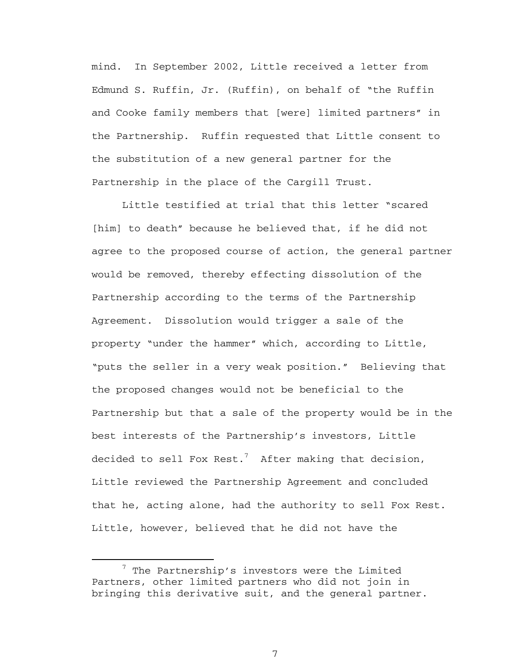mind. In September 2002, Little received a letter from Edmund S. Ruffin, Jr. (Ruffin), on behalf of "the Ruffin and Cooke family members that [were] limited partners" in the Partnership. Ruffin requested that Little consent to the substitution of a new general partner for the Partnership in the place of the Cargill Trust.

Little testified at trial that this letter "scared [him] to death" because he believed that, if he did not agree to the proposed course of action, the general partner would be removed, thereby effecting dissolution of the Partnership according to the terms of the Partnership Agreement. Dissolution would trigger a sale of the property "under the hammer" which, according to Little, "puts the seller in a very weak position." Believing that the proposed changes would not be beneficial to the Partnership but that a sale of the property would be in the best interests of the Partnership's investors, Little decided to sell Fox Rest. $^7$  After making that decision, Little reviewed the Partnership Agreement and concluded that he, acting alone, had the authority to sell Fox Rest. Little, however, believed that he did not have the

 <sup>7</sup>  $7$  The Partnership's investors were the Limited Partners, other limited partners who did not join in bringing this derivative suit, and the general partner.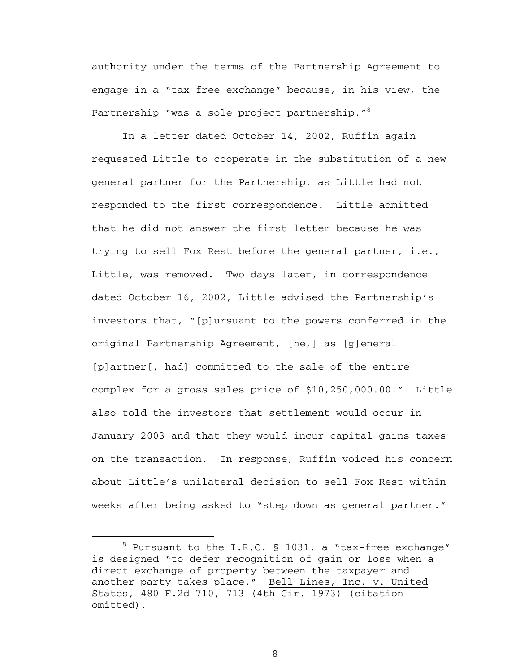authority under the terms of the Partnership Agreement to engage in a "tax-free exchange" because, in his view, the Partnership "was a sole project partnership."<sup>8</sup>

In a letter dated October 14, 2002, Ruffin again requested Little to cooperate in the substitution of a new general partner for the Partnership, as Little had not responded to the first correspondence. Little admitted that he did not answer the first letter because he was trying to sell Fox Rest before the general partner, i.e., Little, was removed. Two days later, in correspondence dated October 16, 2002, Little advised the Partnership's investors that, "[p]ursuant to the powers conferred in the original Partnership Agreement, [he,] as [g]eneral [p]artner[, had] committed to the sale of the entire complex for a gross sales price of \$10,250,000.00." Little also told the investors that settlement would occur in January 2003 and that they would incur capital gains taxes on the transaction. In response, Ruffin voiced his concern about Little's unilateral decision to sell Fox Rest within weeks after being asked to "step down as general partner."

 <sup>8</sup>  $8$  Pursuant to the I.R.C. § 1031, a "tax-free exchange" is designed "to defer recognition of gain or loss when a direct exchange of property between the taxpayer and another party takes place." Bell Lines, Inc. v. United States, 480 F.2d 710, 713 (4th Cir. 1973) (citation omitted).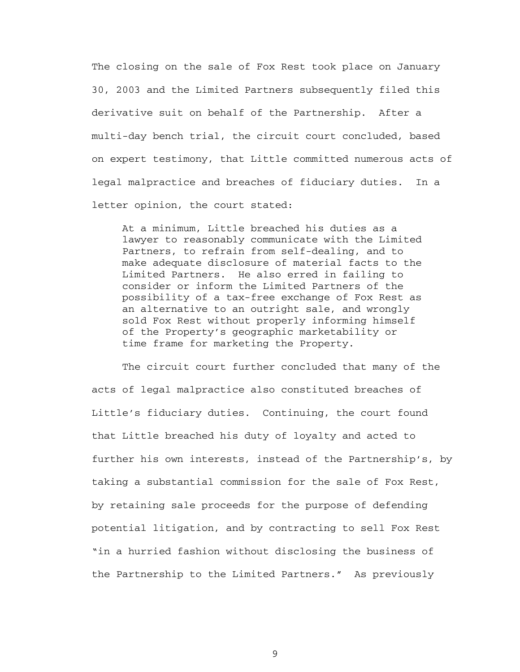The closing on the sale of Fox Rest took place on January 30, 2003 and the Limited Partners subsequently filed this derivative suit on behalf of the Partnership. After a multi-day bench trial, the circuit court concluded, based on expert testimony, that Little committed numerous acts of legal malpractice and breaches of fiduciary duties. In a letter opinion, the court stated:

At a minimum, Little breached his duties as a lawyer to reasonably communicate with the Limited Partners, to refrain from self-dealing, and to make adequate disclosure of material facts to the Limited Partners. He also erred in failing to consider or inform the Limited Partners of the possibility of a tax-free exchange of Fox Rest as an alternative to an outright sale, and wrongly sold Fox Rest without properly informing himself of the Property's geographic marketability or time frame for marketing the Property.

The circuit court further concluded that many of the acts of legal malpractice also constituted breaches of Little's fiduciary duties. Continuing, the court found that Little breached his duty of loyalty and acted to further his own interests, instead of the Partnership's, by taking a substantial commission for the sale of Fox Rest, by retaining sale proceeds for the purpose of defending potential litigation, and by contracting to sell Fox Rest "in a hurried fashion without disclosing the business of the Partnership to the Limited Partners." As previously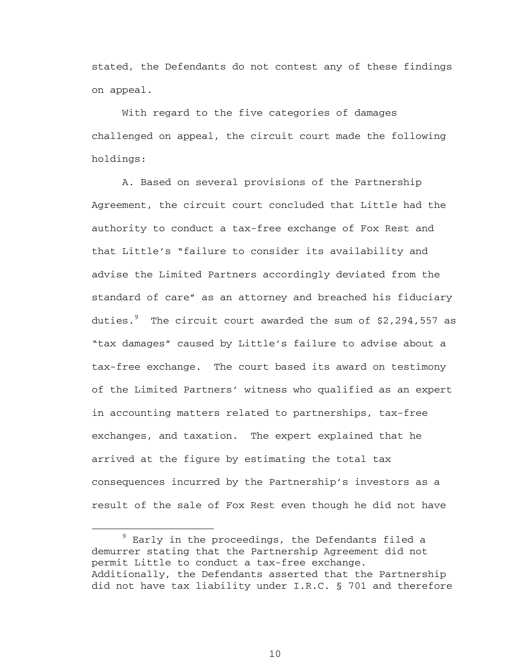stated, the Defendants do not contest any of these findings on appeal.

 With regard to the five categories of damages challenged on appeal, the circuit court made the following holdings:

A. Based on several provisions of the Partnership Agreement, the circuit court concluded that Little had the authority to conduct a tax-free exchange of Fox Rest and that Little's "failure to consider its availability and advise the Limited Partners accordingly deviated from the standard of care" as an attorney and breached his fiduciary duties. $^9$  The circuit court awarded the sum of \$2,294,557 as "tax damages" caused by Little's failure to advise about a tax-free exchange. The court based its award on testimony of the Limited Partners' witness who qualified as an expert in accounting matters related to partnerships, tax-free exchanges, and taxation. The expert explained that he arrived at the figure by estimating the total tax consequences incurred by the Partnership's investors as a result of the sale of Fox Rest even though he did not have

 <sup>9</sup>  $9$  Early in the proceedings, the Defendants filed a demurrer stating that the Partnership Agreement did not permit Little to conduct a tax-free exchange. Additionally, the Defendants asserted that the Partnership did not have tax liability under I.R.C. § 701 and therefore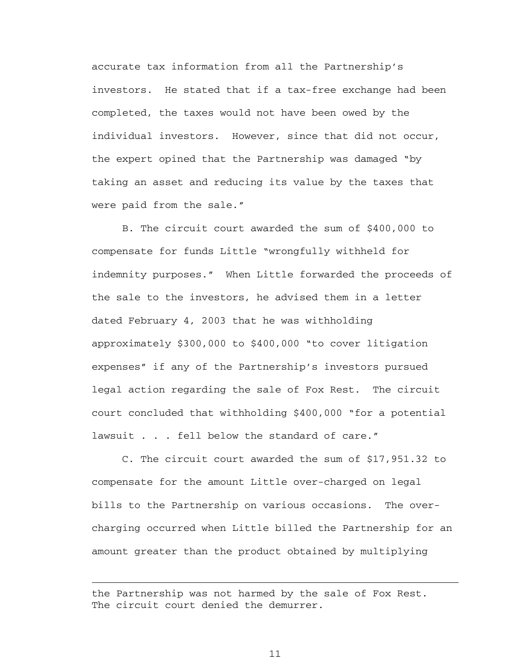accurate tax information from all the Partnership's investors. He stated that if a tax-free exchange had been completed, the taxes would not have been owed by the individual investors. However, since that did not occur, the expert opined that the Partnership was damaged "by taking an asset and reducing its value by the taxes that were paid from the sale."

 B. The circuit court awarded the sum of \$400,000 to compensate for funds Little "wrongfully withheld for indemnity purposes." When Little forwarded the proceeds of the sale to the investors, he advised them in a letter dated February 4, 2003 that he was withholding approximately \$300,000 to \$400,000 "to cover litigation expenses" if any of the Partnership's investors pursued legal action regarding the sale of Fox Rest. The circuit court concluded that withholding \$400,000 "for a potential lawsuit . . . fell below the standard of care."

 C. The circuit court awarded the sum of \$17,951.32 to compensate for the amount Little over-charged on legal bills to the Partnership on various occasions. The overcharging occurred when Little billed the Partnership for an amount greater than the product obtained by multiplying

i

the Partnership was not harmed by the sale of Fox Rest. The circuit court denied the demurrer.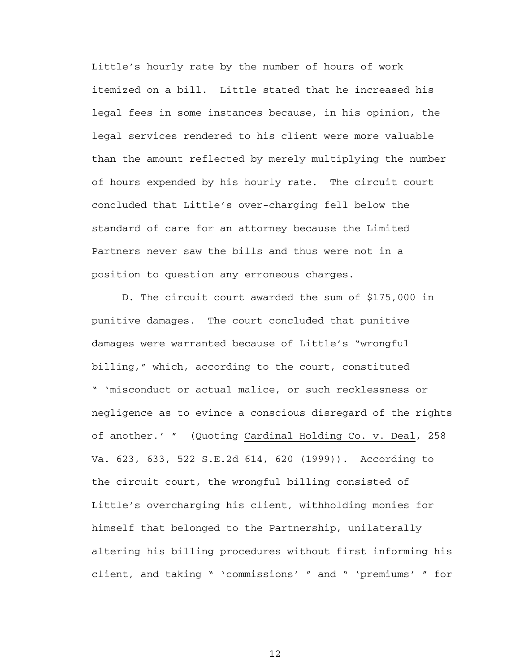Little's hourly rate by the number of hours of work itemized on a bill. Little stated that he increased his legal fees in some instances because, in his opinion, the legal services rendered to his client were more valuable than the amount reflected by merely multiplying the number of hours expended by his hourly rate. The circuit court concluded that Little's over-charging fell below the standard of care for an attorney because the Limited Partners never saw the bills and thus were not in a position to question any erroneous charges.

D. The circuit court awarded the sum of \$175,000 in punitive damages. The court concluded that punitive damages were warranted because of Little's "wrongful billing," which, according to the court, constituted " 'misconduct or actual malice, or such recklessness or negligence as to evince a conscious disregard of the rights of another.' " (Quoting Cardinal Holding Co. v. Deal, 258 Va. 623, 633, 522 S.E.2d 614, 620 (1999)). According to the circuit court, the wrongful billing consisted of Little's overcharging his client, withholding monies for himself that belonged to the Partnership, unilaterally altering his billing procedures without first informing his client, and taking " 'commissions' " and " 'premiums' " for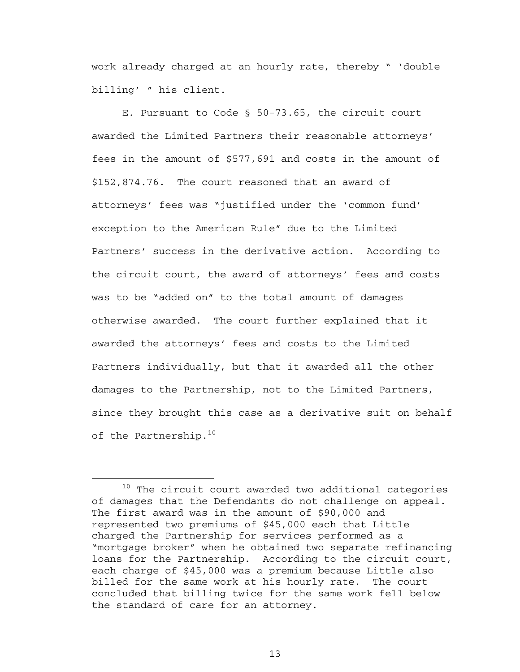work already charged at an hourly rate, thereby " 'double billing' " his client.

E. Pursuant to Code § 50-73.65, the circuit court awarded the Limited Partners their reasonable attorneys' fees in the amount of \$577,691 and costs in the amount of \$152,874.76. The court reasoned that an award of attorneys' fees was "justified under the 'common fund' exception to the American Rule" due to the Limited Partners' success in the derivative action. According to the circuit court, the award of attorneys' fees and costs was to be "added on" to the total amount of damages otherwise awarded. The court further explained that it awarded the attorneys' fees and costs to the Limited Partners individually, but that it awarded all the other damages to the Partnership, not to the Limited Partners, since they brought this case as a derivative suit on behalf of the Partnership. $10$ 

 $10$  The circuit court awarded two additional categories of damages that the Defendants do not challenge on appeal. The first award was in the amount of \$90,000 and represented two premiums of \$45,000 each that Little charged the Partnership for services performed as a "mortgage broker" when he obtained two separate refinancing loans for the Partnership. According to the circuit court, each charge of \$45,000 was a premium because Little also billed for the same work at his hourly rate. The court concluded that billing twice for the same work fell below the standard of care for an attorney.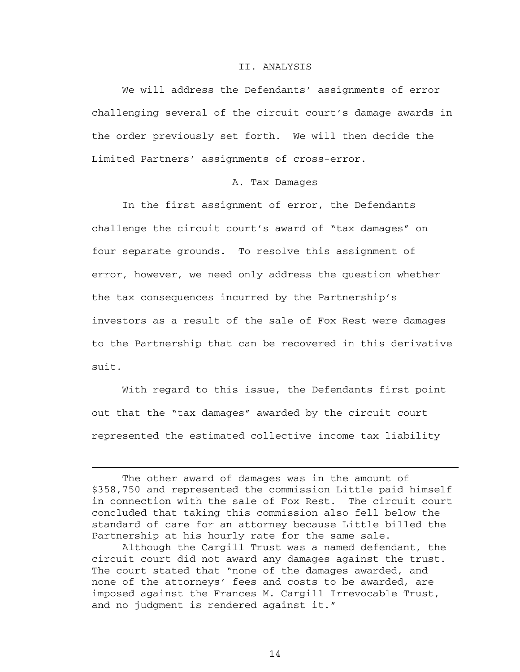#### II. ANALYSIS

 We will address the Defendants' assignments of error challenging several of the circuit court's damage awards in the order previously set forth. We will then decide the Limited Partners' assignments of cross-error.

### A. Tax Damages

 In the first assignment of error, the Defendants challenge the circuit court's award of "tax damages" on four separate grounds. To resolve this assignment of error, however, we need only address the question whether the tax consequences incurred by the Partnership's investors as a result of the sale of Fox Rest were damages to the Partnership that can be recovered in this derivative suit.

 With regard to this issue, the Defendants first point out that the "tax damages" awarded by the circuit court represented the estimated collective income tax liability

i

The other award of damages was in the amount of \$358,750 and represented the commission Little paid himself in connection with the sale of Fox Rest. The circuit court concluded that taking this commission also fell below the standard of care for an attorney because Little billed the Partnership at his hourly rate for the same sale.

Although the Cargill Trust was a named defendant, the circuit court did not award any damages against the trust. The court stated that "none of the damages awarded, and none of the attorneys' fees and costs to be awarded, are imposed against the Frances M. Cargill Irrevocable Trust, and no judgment is rendered against it."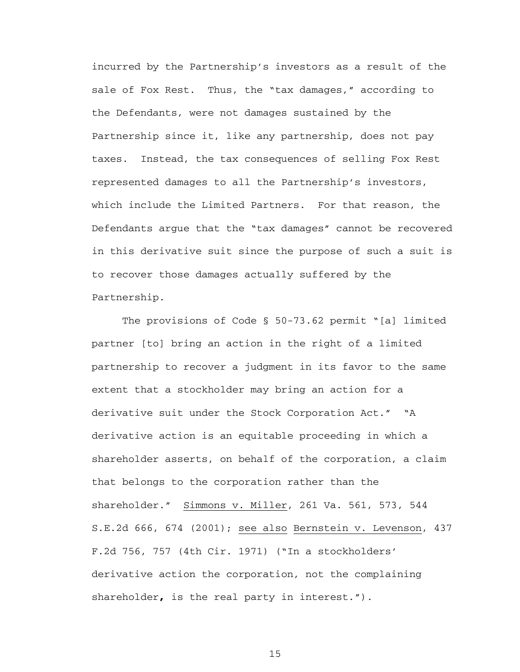incurred by the Partnership's investors as a result of the sale of Fox Rest. Thus, the "tax damages," according to the Defendants, were not damages sustained by the Partnership since it, like any partnership, does not pay taxes. Instead, the tax consequences of selling Fox Rest represented damages to all the Partnership's investors, which include the Limited Partners. For that reason, the Defendants argue that the "tax damages" cannot be recovered in this derivative suit since the purpose of such a suit is to recover those damages actually suffered by the Partnership.

 The provisions of Code § 50-73.62 permit "[a] limited partner [to] bring an action in the right of a limited partnership to recover a judgment in its favor to the same extent that a stockholder may bring an action for a derivative suit under the Stock Corporation Act." "A derivative action is an equitable proceeding in which a shareholder asserts, on behalf of the corporation, a claim that belongs to the corporation rather than the shareholder." Simmons v. Miller, 261 Va. 561, 573, 544 S.E.2d 666, 674 (2001); see also Bernstein v. Levenson, 437 F.2d 756, 757 (4th Cir. 1971) ("In a stockholders' derivative action the corporation, not the complaining shareholder**,** is the real party in interest.").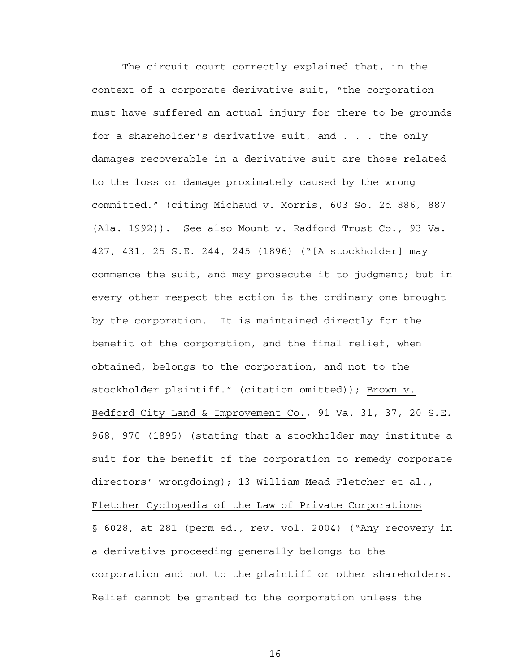The circuit court correctly explained that, in the context of a corporate derivative suit, "the corporation must have suffered an actual injury for there to be grounds for a shareholder's derivative suit, and . . . the only damages recoverable in a derivative suit are those related to the loss or damage proximately caused by the wrong committed." (citing Michaud v. Morris, 603 So. 2d 886, 887 (Ala. 1992)). See also Mount v. Radford Trust Co., 93 Va. 427, 431, 25 S.E. 244, 245 (1896) ("[A stockholder] may commence the suit, and may prosecute it to judgment; but in every other respect the action is the ordinary one brought by the corporation. It is maintained directly for the benefit of the corporation, and the final relief, when obtained, belongs to the corporation, and not to the stockholder plaintiff." (citation omitted)); Brown v. Bedford City Land & Improvement Co., 91 Va. 31, 37, 20 S.E. 968, 970 (1895) (stating that a stockholder may institute a suit for the benefit of the corporation to remedy corporate directors' wrongdoing); 13 William Mead Fletcher et al., Fletcher Cyclopedia of the Law of Private Corporations § 6028, at 281 (perm ed., rev. vol. 2004) ("Any recovery in a derivative proceeding generally belongs to the corporation and not to the plaintiff or other shareholders. Relief cannot be granted to the corporation unless the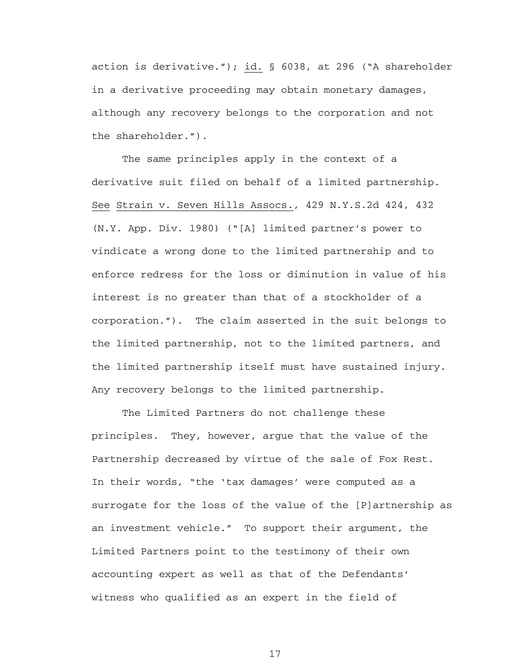action is derivative."); id. § 6038, at 296 ("A shareholder in a derivative proceeding may obtain monetary damages, although any recovery belongs to the corporation and not the shareholder.").

The same principles apply in the context of a derivative suit filed on behalf of a limited partnership. See Strain v. Seven Hills Assocs., 429 N.Y.S.2d 424, 432 (N.Y. App. Div. 1980) ("[A] limited partner's power to vindicate a wrong done to the limited partnership and to enforce redress for the loss or diminution in value of his interest is no greater than that of a stockholder of a corporation."). The claim asserted in the suit belongs to the limited partnership, not to the limited partners, and the limited partnership itself must have sustained injury. Any recovery belongs to the limited partnership.

The Limited Partners do not challenge these principles. They, however, argue that the value of the Partnership decreased by virtue of the sale of Fox Rest. In their words, "the 'tax damages' were computed as a surrogate for the loss of the value of the [P]artnership as an investment vehicle." To support their argument, the Limited Partners point to the testimony of their own accounting expert as well as that of the Defendants' witness who qualified as an expert in the field of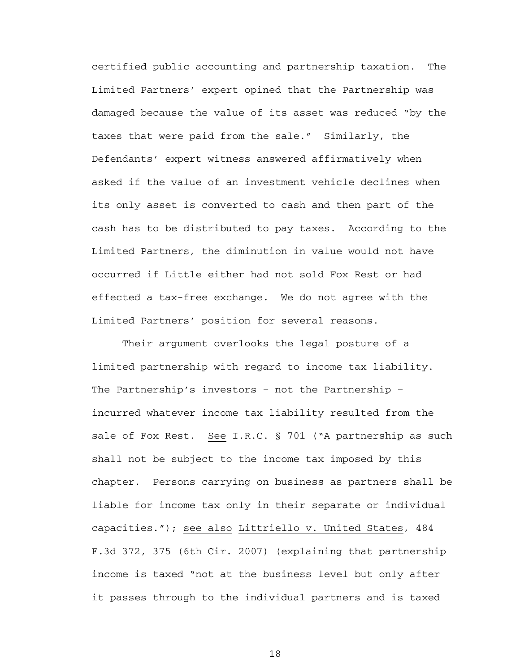certified public accounting and partnership taxation. The Limited Partners' expert opined that the Partnership was damaged because the value of its asset was reduced "by the taxes that were paid from the sale." Similarly, the Defendants' expert witness answered affirmatively when asked if the value of an investment vehicle declines when its only asset is converted to cash and then part of the cash has to be distributed to pay taxes. According to the Limited Partners, the diminution in value would not have occurred if Little either had not sold Fox Rest or had effected a tax-free exchange. We do not agree with the Limited Partners' position for several reasons.

Their argument overlooks the legal posture of a limited partnership with regard to income tax liability. The Partnership's investors – not the Partnership – incurred whatever income tax liability resulted from the sale of Fox Rest. See I.R.C. § 701 ("A partnership as such shall not be subject to the income tax imposed by this chapter. Persons carrying on business as partners shall be liable for income tax only in their separate or individual capacities."); see also Littriello v. United States, 484 F.3d 372, 375 (6th Cir. 2007) (explaining that partnership income is taxed "not at the business level but only after it passes through to the individual partners and is taxed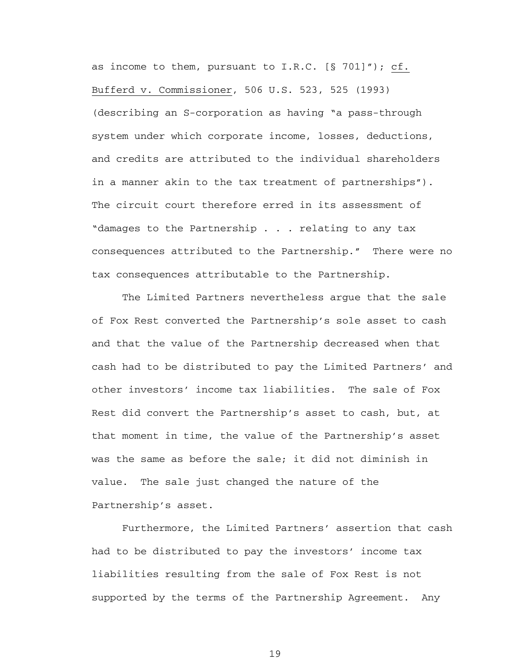as income to them, pursuant to I.R.C. [§ 701]"); cf. Bufferd v. Commissioner, 506 U.S. 523, 525 (1993) (describing an S-corporation as having "a pass-through system under which corporate income, losses, deductions, and credits are attributed to the individual shareholders in a manner akin to the tax treatment of partnerships"). The circuit court therefore erred in its assessment of "damages to the Partnership . . . relating to any tax consequences attributed to the Partnership." There were no tax consequences attributable to the Partnership.

 The Limited Partners nevertheless argue that the sale of Fox Rest converted the Partnership's sole asset to cash and that the value of the Partnership decreased when that cash had to be distributed to pay the Limited Partners' and other investors' income tax liabilities. The sale of Fox Rest did convert the Partnership's asset to cash, but, at that moment in time, the value of the Partnership's asset was the same as before the sale; it did not diminish in value. The sale just changed the nature of the Partnership's asset.

Furthermore, the Limited Partners' assertion that cash had to be distributed to pay the investors' income tax liabilities resulting from the sale of Fox Rest is not supported by the terms of the Partnership Agreement. Any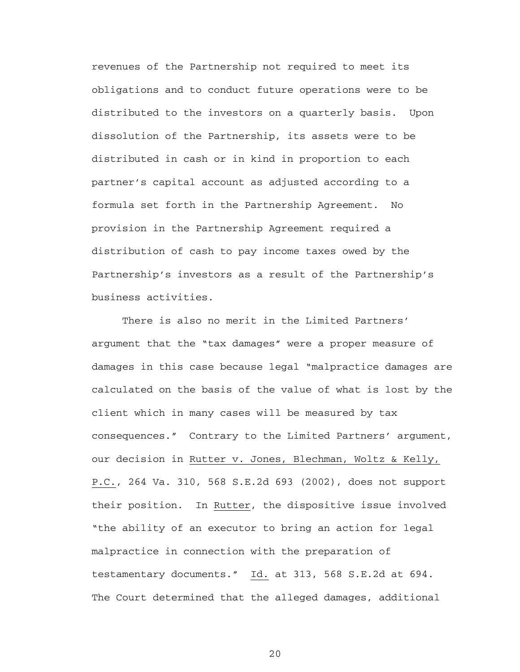revenues of the Partnership not required to meet its obligations and to conduct future operations were to be distributed to the investors on a quarterly basis. Upon dissolution of the Partnership, its assets were to be distributed in cash or in kind in proportion to each partner's capital account as adjusted according to a formula set forth in the Partnership Agreement. No provision in the Partnership Agreement required a distribution of cash to pay income taxes owed by the Partnership's investors as a result of the Partnership's business activities.

 There is also no merit in the Limited Partners' argument that the "tax damages" were a proper measure of damages in this case because legal "malpractice damages are calculated on the basis of the value of what is lost by the client which in many cases will be measured by tax consequences." Contrary to the Limited Partners' argument, our decision in Rutter v. Jones, Blechman, Woltz & Kelly, P.C., 264 Va. 310, 568 S.E.2d 693 (2002), does not support their position. In Rutter, the dispositive issue involved "the ability of an executor to bring an action for legal malpractice in connection with the preparation of testamentary documents." Id. at 313, 568 S.E.2d at 694. The Court determined that the alleged damages, additional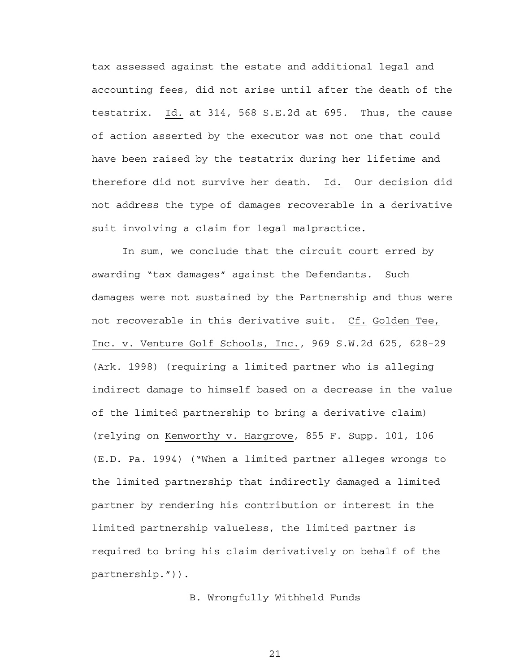tax assessed against the estate and additional legal and accounting fees, did not arise until after the death of the testatrix. Id. at 314, 568 S.E.2d at 695. Thus, the cause of action asserted by the executor was not one that could have been raised by the testatrix during her lifetime and therefore did not survive her death. Id. Our decision did not address the type of damages recoverable in a derivative suit involving a claim for legal malpractice.

 In sum, we conclude that the circuit court erred by awarding "tax damages" against the Defendants. Such damages were not sustained by the Partnership and thus were not recoverable in this derivative suit. Cf. Golden Tee, Inc. v. Venture Golf Schools, Inc., 969 S.W.2d 625, 628-29 (Ark. 1998) (requiring a limited partner who is alleging indirect damage to himself based on a decrease in the value of the limited partnership to bring a derivative claim) (relying on Kenworthy v. Hargrove, 855 F. Supp. 101, 106 (E.D. Pa. 1994) ("When a limited partner alleges wrongs to the limited partnership that indirectly damaged a limited partner by rendering his contribution or interest in the limited partnership valueless, the limited partner is required to bring his claim derivatively on behalf of the partnership.")).

B. Wrongfully Withheld Funds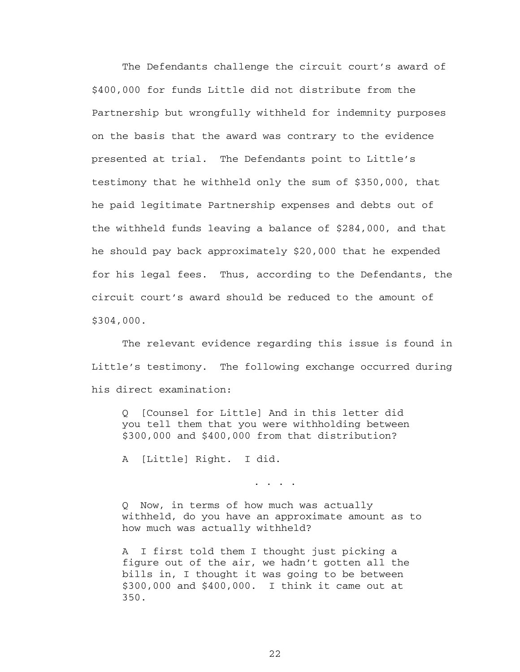The Defendants challenge the circuit court's award of \$400,000 for funds Little did not distribute from the Partnership but wrongfully withheld for indemnity purposes on the basis that the award was contrary to the evidence presented at trial. The Defendants point to Little's testimony that he withheld only the sum of \$350,000, that he paid legitimate Partnership expenses and debts out of the withheld funds leaving a balance of \$284,000, and that he should pay back approximately \$20,000 that he expended for his legal fees. Thus, according to the Defendants, the circuit court's award should be reduced to the amount of \$304,000.

The relevant evidence regarding this issue is found in Little's testimony. The following exchange occurred during his direct examination:

Q [Counsel for Little] And in this letter did you tell them that you were withholding between \$300,000 and \$400,000 from that distribution?

A [Little] Right. I did.

. . . .

Q Now, in terms of how much was actually withheld, do you have an approximate amount as to how much was actually withheld?

A I first told them I thought just picking a figure out of the air, we hadn't gotten all the bills in, I thought it was going to be between \$300,000 and \$400,000. I think it came out at 350.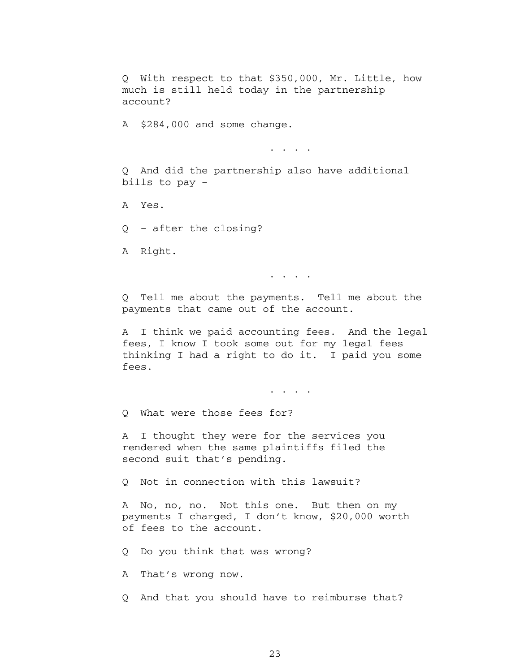Q With respect to that \$350,000, Mr. Little, how much is still held today in the partnership account?

A \$284,000 and some change.

. . . . . .

Q And did the partnership also have additional bills to pay –

A Yes.

Q – after the closing?

A Right.

. . . .

Q Tell me about the payments. Tell me about the payments that came out of the account.

A I think we paid accounting fees. And the legal fees, I know I took some out for my legal fees thinking I had a right to do it. I paid you some fees.

. . . . . .

Q What were those fees for?

A I thought they were for the services you rendered when the same plaintiffs filed the second suit that's pending.

Q Not in connection with this lawsuit?

A No, no, no. Not this one. But then on my payments I charged, I don't know, \$20,000 worth of fees to the account.

Q Do you think that was wrong?

A That's wrong now.

Q And that you should have to reimburse that?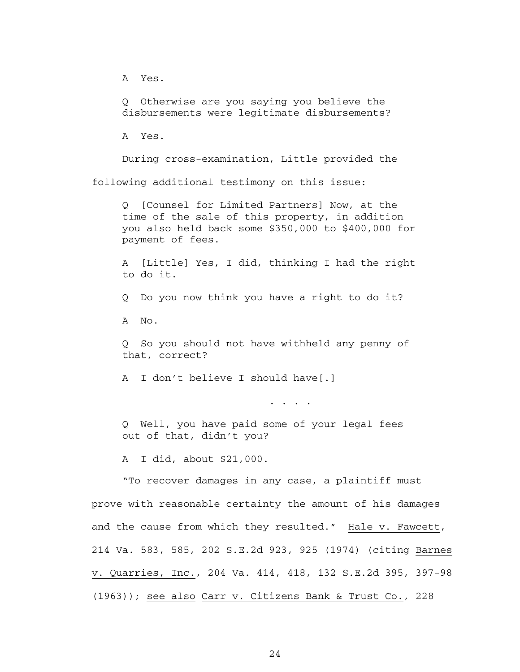A Yes.

Q Otherwise are you saying you believe the disbursements were legitimate disbursements?

A Yes.

 During cross-examination, Little provided the following additional testimony on this issue:

Q [Counsel for Limited Partners] Now, at the time of the sale of this property, in addition you also held back some \$350,000 to \$400,000 for payment of fees.

A [Little] Yes, I did, thinking I had the right to do it.

Q Do you now think you have a right to do it?

A No.

Q So you should not have withheld any penny of that, correct?

A I don't believe I should have[.]

. . . .

Q Well, you have paid some of your legal fees out of that, didn't you?

A I did, about \$21,000.

"To recover damages in any case, a plaintiff must prove with reasonable certainty the amount of his damages and the cause from which they resulted." Hale v. Fawcett, 214 Va. 583, 585, 202 S.E.2d 923, 925 (1974) (citing Barnes v. Quarries, Inc., 204 Va. 414, 418, 132 S.E.2d 395, 397-98 (1963)); see also Carr v. Citizens Bank & Trust Co., 228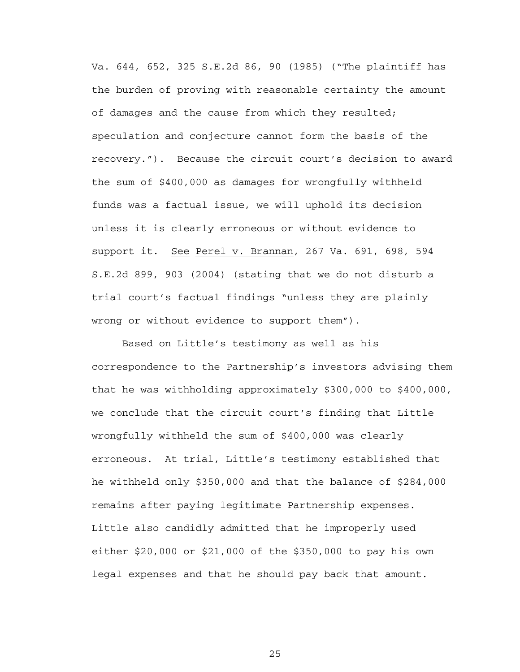Va. 644, 652, 325 S.E.2d 86, 90 (1985) ("The plaintiff has the burden of proving with reasonable certainty the amount of damages and the cause from which they resulted; speculation and conjecture cannot form the basis of the recovery."). Because the circuit court's decision to award the sum of \$400,000 as damages for wrongfully withheld funds was a factual issue, we will uphold its decision unless it is clearly erroneous or without evidence to support it. See Perel v. Brannan, 267 Va. 691, 698, 594 S.E.2d 899, 903 (2004) (stating that we do not disturb a trial court's factual findings "unless they are plainly wrong or without evidence to support them").

Based on Little's testimony as well as his correspondence to the Partnership's investors advising them that he was withholding approximately \$300,000 to \$400,000, we conclude that the circuit court's finding that Little wrongfully withheld the sum of \$400,000 was clearly erroneous. At trial, Little's testimony established that he withheld only \$350,000 and that the balance of \$284,000 remains after paying legitimate Partnership expenses. Little also candidly admitted that he improperly used either \$20,000 or \$21,000 of the \$350,000 to pay his own legal expenses and that he should pay back that amount.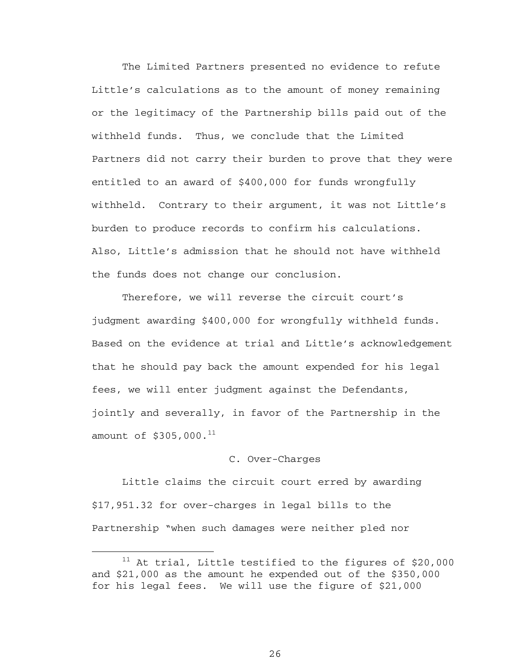The Limited Partners presented no evidence to refute Little's calculations as to the amount of money remaining or the legitimacy of the Partnership bills paid out of the withheld funds. Thus, we conclude that the Limited Partners did not carry their burden to prove that they were entitled to an award of \$400,000 for funds wrongfully withheld. Contrary to their argument, it was not Little's burden to produce records to confirm his calculations. Also, Little's admission that he should not have withheld the funds does not change our conclusion.

Therefore, we will reverse the circuit court's judgment awarding \$400,000 for wrongfully withheld funds. Based on the evidence at trial and Little's acknowledgement that he should pay back the amount expended for his legal fees, we will enter judgment against the Defendants, jointly and severally, in favor of the Partnership in the amount of  $$305,000.<sup>11</sup>$ 

#### C. Over-Charges

Little claims the circuit court erred by awarding \$17,951.32 for over-charges in legal bills to the Partnership "when such damages were neither pled nor

 $11$  At trial, Little testified to the figures of \$20,000 and \$21,000 as the amount he expended out of the \$350,000 for his legal fees. We will use the figure of \$21,000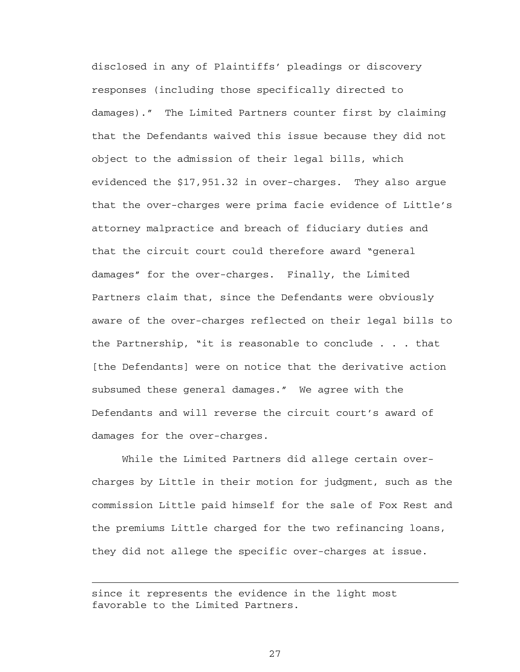disclosed in any of Plaintiffs' pleadings or discovery responses (including those specifically directed to damages)." The Limited Partners counter first by claiming that the Defendants waived this issue because they did not object to the admission of their legal bills, which evidenced the \$17,951.32 in over-charges. They also argue that the over-charges were prima facie evidence of Little's attorney malpractice and breach of fiduciary duties and that the circuit court could therefore award "general damages" for the over-charges. Finally, the Limited Partners claim that, since the Defendants were obviously aware of the over-charges reflected on their legal bills to the Partnership, "it is reasonable to conclude . . . that [the Defendants] were on notice that the derivative action subsumed these general damages." We agree with the Defendants and will reverse the circuit court's award of damages for the over-charges.

While the Limited Partners did allege certain overcharges by Little in their motion for judgment, such as the commission Little paid himself for the sale of Fox Rest and the premiums Little charged for the two refinancing loans, they did not allege the specific over-charges at issue.

since it represents the evidence in the light most favorable to the Limited Partners.

i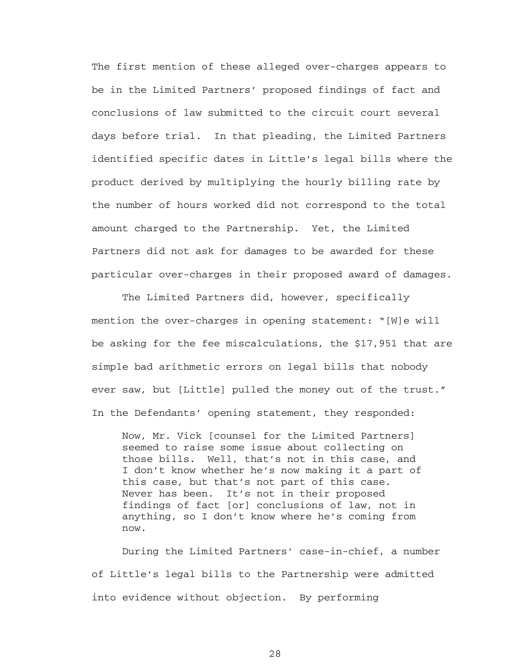The first mention of these alleged over-charges appears to be in the Limited Partners' proposed findings of fact and conclusions of law submitted to the circuit court several days before trial. In that pleading, the Limited Partners identified specific dates in Little's legal bills where the product derived by multiplying the hourly billing rate by the number of hours worked did not correspond to the total amount charged to the Partnership. Yet, the Limited Partners did not ask for damages to be awarded for these particular over-charges in their proposed award of damages.

The Limited Partners did, however, specifically mention the over-charges in opening statement: "[W]e will be asking for the fee miscalculations, the \$17,951 that are simple bad arithmetic errors on legal bills that nobody ever saw, but [Little] pulled the money out of the trust." In the Defendants' opening statement, they responded:

Now, Mr. Vick [counsel for the Limited Partners] seemed to raise some issue about collecting on those bills. Well, that's not in this case, and I don't know whether he's now making it a part of this case, but that's not part of this case. Never has been. It's not in their proposed findings of fact [or] conclusions of law, not in anything, so I don't know where he's coming from now.

 During the Limited Partners' case-in-chief, a number of Little's legal bills to the Partnership were admitted into evidence without objection. By performing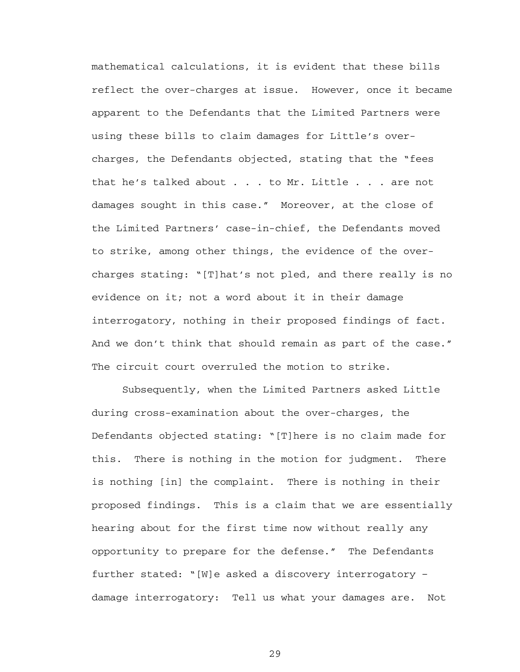mathematical calculations, it is evident that these bills reflect the over-charges at issue. However, once it became apparent to the Defendants that the Limited Partners were using these bills to claim damages for Little's overcharges, the Defendants objected, stating that the "fees that he's talked about . . . to Mr. Little . . . are not damages sought in this case." Moreover, at the close of the Limited Partners' case-in-chief, the Defendants moved to strike, among other things, the evidence of the overcharges stating: "[T]hat's not pled, and there really is no evidence on it; not a word about it in their damage interrogatory, nothing in their proposed findings of fact. And we don't think that should remain as part of the case." The circuit court overruled the motion to strike.

Subsequently, when the Limited Partners asked Little during cross-examination about the over-charges, the Defendants objected stating: "[T]here is no claim made for this. There is nothing in the motion for judgment. There is nothing [in] the complaint. There is nothing in their proposed findings. This is a claim that we are essentially hearing about for the first time now without really any opportunity to prepare for the defense." The Defendants further stated: "[W]e asked a discovery interrogatory – damage interrogatory: Tell us what your damages are. Not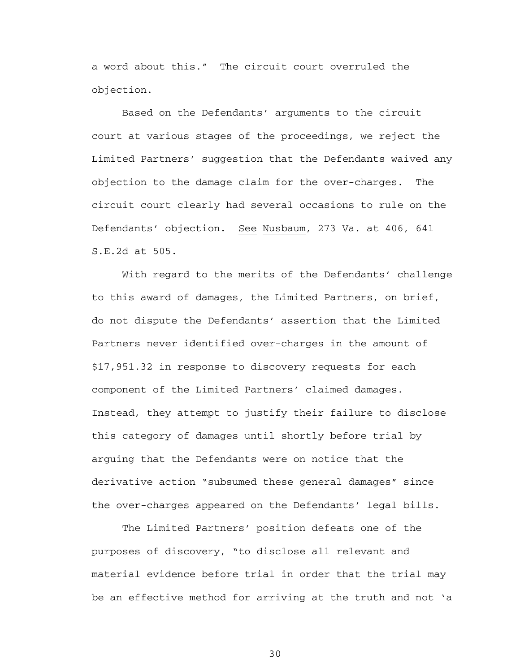a word about this." The circuit court overruled the objection.

 Based on the Defendants' arguments to the circuit court at various stages of the proceedings, we reject the Limited Partners' suggestion that the Defendants waived any objection to the damage claim for the over-charges. The circuit court clearly had several occasions to rule on the Defendants' objection. See Nusbaum, 273 Va. at 406, 641 S.E.2d at 505.

With regard to the merits of the Defendants' challenge to this award of damages, the Limited Partners, on brief, do not dispute the Defendants' assertion that the Limited Partners never identified over-charges in the amount of \$17,951.32 in response to discovery requests for each component of the Limited Partners' claimed damages. Instead, they attempt to justify their failure to disclose this category of damages until shortly before trial by arguing that the Defendants were on notice that the derivative action "subsumed these general damages" since the over-charges appeared on the Defendants' legal bills.

The Limited Partners' position defeats one of the purposes of discovery, "to disclose all relevant and material evidence before trial in order that the trial may be an effective method for arriving at the truth and not 'a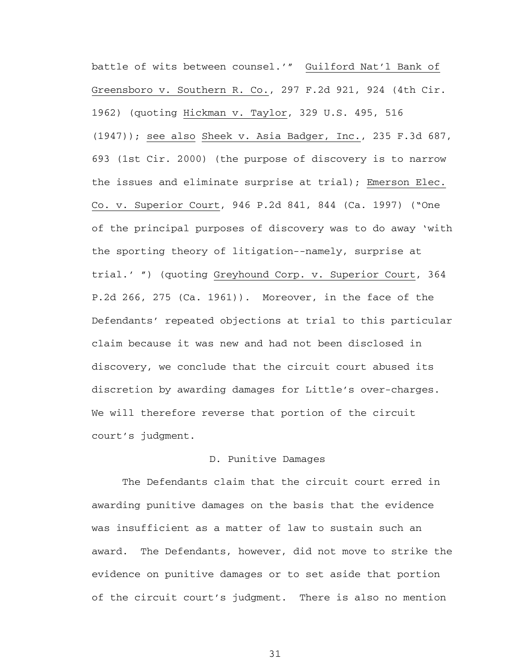battle of wits between counsel.'" Guilford Nat'l Bank of Greensboro v. Southern R. Co., 297 F.2d 921, 924 (4th Cir. 1962) (quoting Hickman v. Taylor, 329 U.S. 495, 516 (1947)); see also Sheek v. Asia Badger, Inc., 235 F.3d 687, 693 (1st Cir. 2000) (the purpose of discovery is to narrow the issues and eliminate surprise at trial); Emerson Elec. Co. v. Superior Court, 946 P.2d 841, 844 (Ca. 1997) ("One of the principal purposes of discovery was to do away 'with the sporting theory of litigation--namely, surprise at trial.' ") (quoting Greyhound Corp. v. Superior Court, 364 P.2d 266, 275 (Ca. 1961)). Moreover, in the face of the Defendants' repeated objections at trial to this particular claim because it was new and had not been disclosed in discovery, we conclude that the circuit court abused its discretion by awarding damages for Little's over-charges. We will therefore reverse that portion of the circuit court's judgment.

## D. Punitive Damages

The Defendants claim that the circuit court erred in awarding punitive damages on the basis that the evidence was insufficient as a matter of law to sustain such an award. The Defendants, however, did not move to strike the evidence on punitive damages or to set aside that portion of the circuit court's judgment. There is also no mention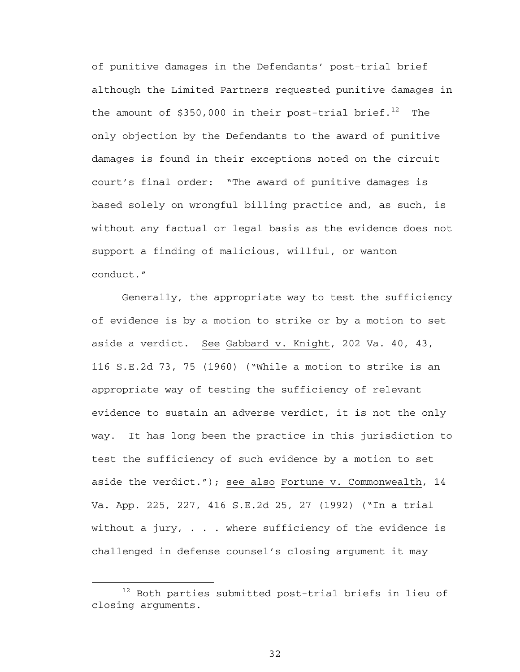of punitive damages in the Defendants' post-trial brief although the Limited Partners requested punitive damages in the amount of  $$350,000$  in their post-trial brief.<sup>12</sup> The only objection by the Defendants to the award of punitive damages is found in their exceptions noted on the circuit court's final order: "The award of punitive damages is based solely on wrongful billing practice and, as such, is without any factual or legal basis as the evidence does not support a finding of malicious, willful, or wanton conduct."

Generally, the appropriate way to test the sufficiency of evidence is by a motion to strike or by a motion to set aside a verdict. See Gabbard v. Knight, 202 Va. 40, 43, 116 S.E.2d 73, 75 (1960) ("While a motion to strike is an appropriate way of testing the sufficiency of relevant evidence to sustain an adverse verdict, it is not the only way. It has long been the practice in this jurisdiction to test the sufficiency of such evidence by a motion to set aside the verdict."); see also Fortune v. Commonwealth, 14 Va. App. 225, 227, 416 S.E.2d 25, 27 (1992) ("In a trial without a jury, . . . where sufficiency of the evidence is challenged in defense counsel's closing argument it may

 <sup>12</sup> Both parties submitted post-trial briefs in lieu of closing arguments.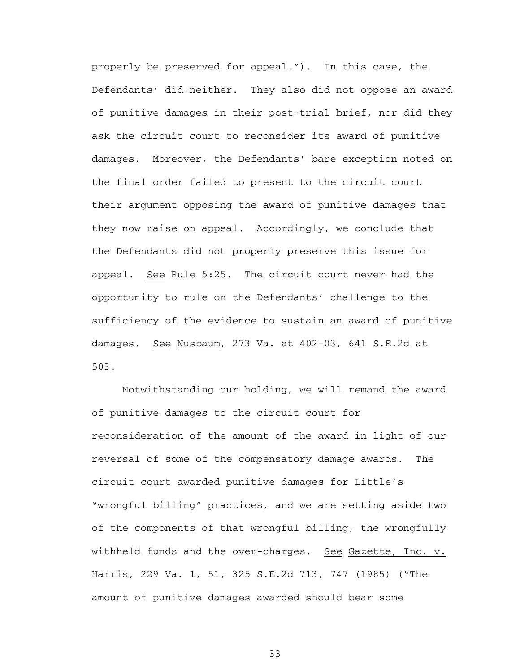properly be preserved for appeal."). In this case, the Defendants' did neither. They also did not oppose an award of punitive damages in their post-trial brief, nor did they ask the circuit court to reconsider its award of punitive damages. Moreover, the Defendants' bare exception noted on the final order failed to present to the circuit court their argument opposing the award of punitive damages that they now raise on appeal. Accordingly, we conclude that the Defendants did not properly preserve this issue for appeal. See Rule 5:25. The circuit court never had the opportunity to rule on the Defendants' challenge to the sufficiency of the evidence to sustain an award of punitive damages. See Nusbaum, 273 Va. at 402-03, 641 S.E.2d at 503.

Notwithstanding our holding, we will remand the award of punitive damages to the circuit court for reconsideration of the amount of the award in light of our reversal of some of the compensatory damage awards. The circuit court awarded punitive damages for Little's "wrongful billing" practices, and we are setting aside two of the components of that wrongful billing, the wrongfully withheld funds and the over-charges. See Gazette, Inc. v. Harris, 229 Va. 1, 51, 325 S.E.2d 713, 747 (1985) ("The amount of punitive damages awarded should bear some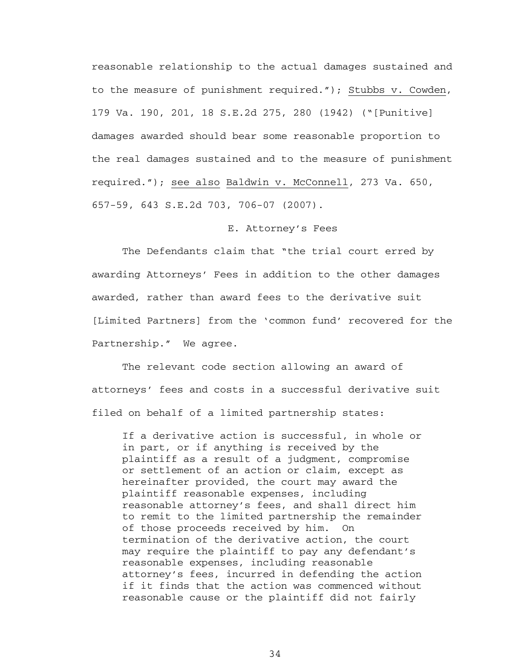reasonable relationship to the actual damages sustained and to the measure of punishment required."); Stubbs v. Cowden, 179 Va. 190, 201, 18 S.E.2d 275, 280 (1942) ("[Punitive] damages awarded should bear some reasonable proportion to the real damages sustained and to the measure of punishment required."); see also Baldwin v. McConnell, 273 Va. 650, 657-59, 643 S.E.2d 703, 706-07 (2007).

#### E. Attorney's Fees

The Defendants claim that "the trial court erred by awarding Attorneys' Fees in addition to the other damages awarded, rather than award fees to the derivative suit [Limited Partners] from the 'common fund' recovered for the Partnership." We agree.

The relevant code section allowing an award of attorneys' fees and costs in a successful derivative suit filed on behalf of a limited partnership states:

If a derivative action is successful, in whole or in part, or if anything is received by the plaintiff as a result of a judgment, compromise or settlement of an action or claim, except as hereinafter provided, the court may award the plaintiff reasonable expenses, including reasonable attorney's fees, and shall direct him to remit to the limited partnership the remainder of those proceeds received by him. On termination of the derivative action, the court may require the plaintiff to pay any defendant's reasonable expenses, including reasonable attorney's fees, incurred in defending the action if it finds that the action was commenced without reasonable cause or the plaintiff did not fairly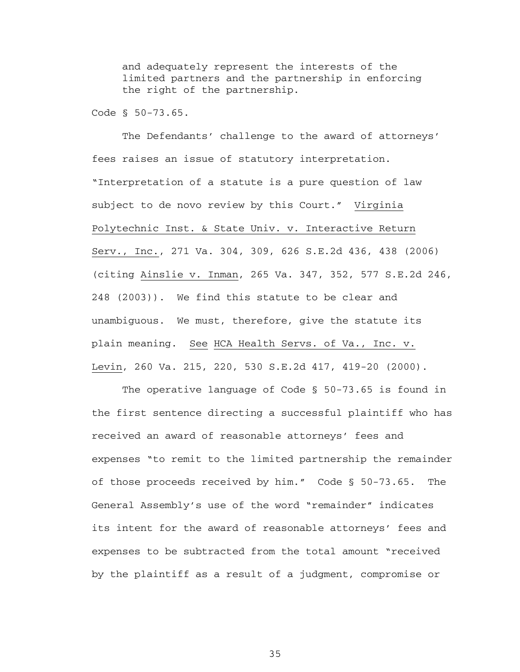and adequately represent the interests of the limited partners and the partnership in enforcing the right of the partnership.

Code § 50-73.65.

The Defendants' challenge to the award of attorneys' fees raises an issue of statutory interpretation. "Interpretation of a statute is a pure question of law subject to de novo review by this Court." Virginia Polytechnic Inst. & State Univ. v. Interactive Return Serv., Inc., 271 Va. 304, 309, 626 S.E.2d 436, 438 (2006) (citing Ainslie v. Inman, 265 Va. 347, 352, 577 S.E.2d 246, 248 (2003)). We find this statute to be clear and unambiguous. We must, therefore, give the statute its plain meaning. See HCA Health Servs. of Va., Inc. v. Levin, 260 Va. 215, 220, 530 S.E.2d 417, 419-20 (2000).

 The operative language of Code § 50-73.65 is found in the first sentence directing a successful plaintiff who has received an award of reasonable attorneys' fees and expenses "to remit to the limited partnership the remainder of those proceeds received by him." Code § 50-73.65. The General Assembly's use of the word "remainder" indicates its intent for the award of reasonable attorneys' fees and expenses to be subtracted from the total amount "received by the plaintiff as a result of a judgment, compromise or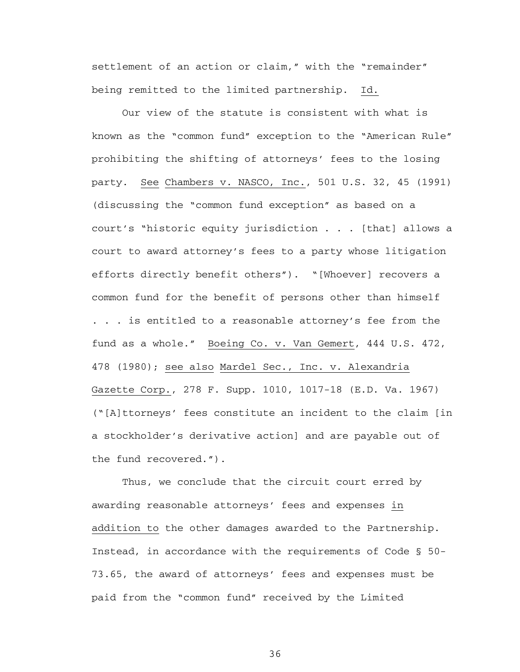settlement of an action or claim," with the "remainder" being remitted to the limited partnership. Id.

 Our view of the statute is consistent with what is known as the "common fund" exception to the "American Rule" prohibiting the shifting of attorneys' fees to the losing party. See Chambers v. NASCO, Inc., 501 U.S. 32, 45 (1991) (discussing the "common fund exception" as based on a court's "historic equity jurisdiction . . . [that] allows a court to award attorney's fees to a party whose litigation efforts directly benefit others"). "[Whoever] recovers a common fund for the benefit of persons other than himself . . . is entitled to a reasonable attorney's fee from the fund as a whole." Boeing Co. v. Van Gemert, 444 U.S. 472, 478 (1980); see also Mardel Sec., Inc. v. Alexandria Gazette Corp., 278 F. Supp. 1010, 1017-18 (E.D. Va. 1967) ("[A]ttorneys' fees constitute an incident to the claim [in a stockholder's derivative action] and are payable out of the fund recovered.").

 Thus, we conclude that the circuit court erred by awarding reasonable attorneys' fees and expenses in addition to the other damages awarded to the Partnership. Instead, in accordance with the requirements of Code § 50- 73.65, the award of attorneys' fees and expenses must be paid from the "common fund" received by the Limited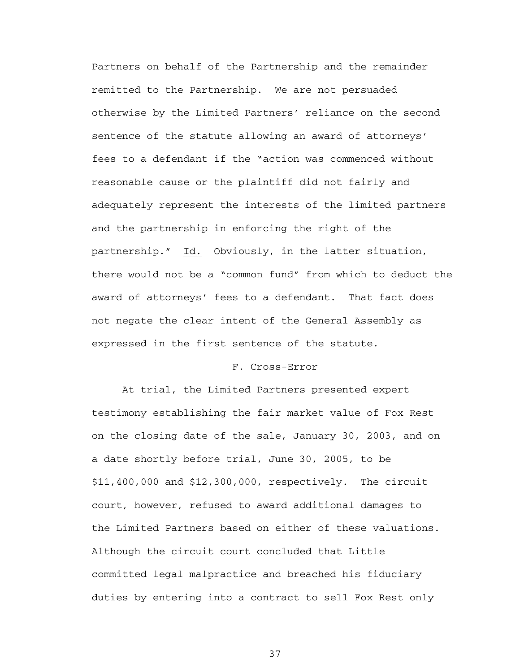Partners on behalf of the Partnership and the remainder remitted to the Partnership. We are not persuaded otherwise by the Limited Partners' reliance on the second sentence of the statute allowing an award of attorneys' fees to a defendant if the "action was commenced without reasonable cause or the plaintiff did not fairly and adequately represent the interests of the limited partners and the partnership in enforcing the right of the partnership." Id. Obviously, in the latter situation, there would not be a "common fund" from which to deduct the award of attorneys' fees to a defendant. That fact does not negate the clear intent of the General Assembly as expressed in the first sentence of the statute.

#### F. Cross-Error

 At trial, the Limited Partners presented expert testimony establishing the fair market value of Fox Rest on the closing date of the sale, January 30, 2003, and on a date shortly before trial, June 30, 2005, to be \$11,400,000 and \$12,300,000, respectively. The circuit court, however, refused to award additional damages to the Limited Partners based on either of these valuations. Although the circuit court concluded that Little committed legal malpractice and breached his fiduciary duties by entering into a contract to sell Fox Rest only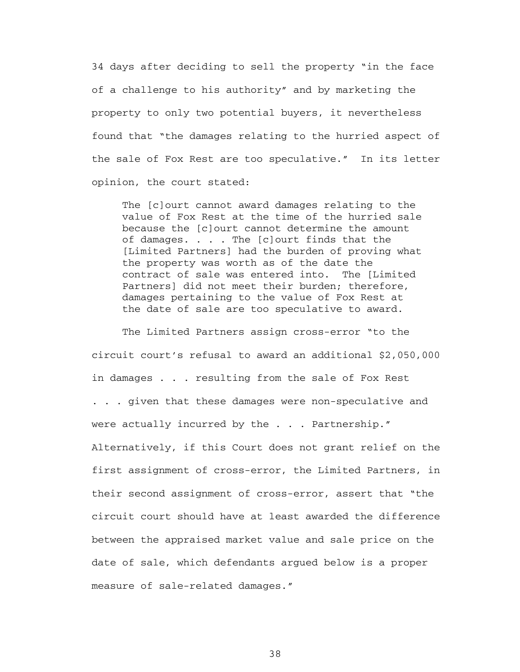34 days after deciding to sell the property "in the face of a challenge to his authority" and by marketing the property to only two potential buyers, it nevertheless found that "the damages relating to the hurried aspect of the sale of Fox Rest are too speculative." In its letter opinion, the court stated:

The [c]ourt cannot award damages relating to the value of Fox Rest at the time of the hurried sale because the [c]ourt cannot determine the amount of damages. . . . The [c]ourt finds that the [Limited Partners] had the burden of proving what the property was worth as of the date the contract of sale was entered into. The [Limited Partners] did not meet their burden; therefore, damages pertaining to the value of Fox Rest at the date of sale are too speculative to award.

The Limited Partners assign cross-error "to the circuit court's refusal to award an additional \$2,050,000 in damages . . . resulting from the sale of Fox Rest . . . given that these damages were non-speculative and were actually incurred by the . . . Partnership." Alternatively, if this Court does not grant relief on the first assignment of cross-error, the Limited Partners, in their second assignment of cross-error, assert that "the circuit court should have at least awarded the difference between the appraised market value and sale price on the date of sale, which defendants argued below is a proper measure of sale-related damages."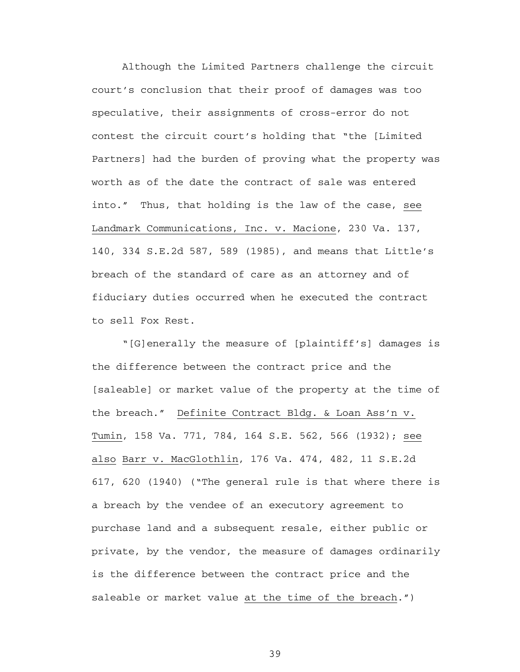Although the Limited Partners challenge the circuit court's conclusion that their proof of damages was too speculative, their assignments of cross-error do not contest the circuit court's holding that "the [Limited Partners] had the burden of proving what the property was worth as of the date the contract of sale was entered into." Thus, that holding is the law of the case, see Landmark Communications, Inc. v. Macione, 230 Va. 137, 140, 334 S.E.2d 587, 589 (1985), and means that Little's breach of the standard of care as an attorney and of fiduciary duties occurred when he executed the contract to sell Fox Rest.

"[G]enerally the measure of [plaintiff's] damages is the difference between the contract price and the [saleable] or market value of the property at the time of the breach." Definite Contract Bldg. & Loan Ass'n v. Tumin, 158 Va. 771, 784, 164 S.E. 562, 566 (1932); see also Barr v. MacGlothlin, 176 Va. 474, 482, 11 S.E.2d 617, 620 (1940) ("The general rule is that where there is a breach by the vendee of an executory agreement to purchase land and a subsequent resale, either public or private, by the vendor, the measure of damages ordinarily is the difference between the contract price and the saleable or market value at the time of the breach.")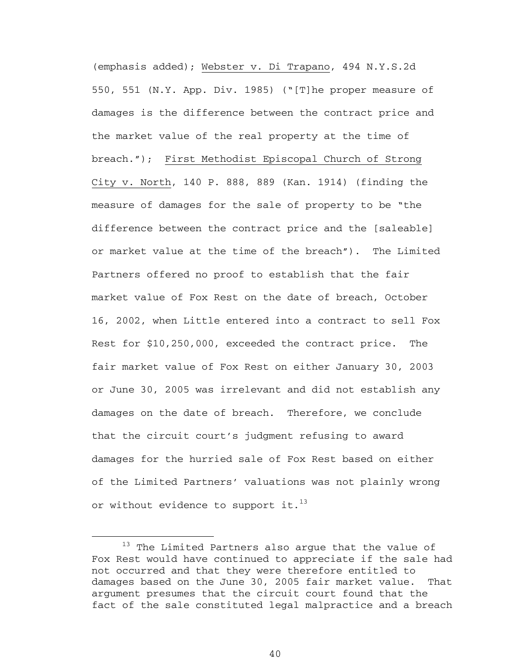(emphasis added); Webster v. Di Trapano, 494 N.Y.S.2d 550, 551 (N.Y. App. Div. 1985) ("[T]he proper measure of damages is the difference between the contract price and the market value of the real property at the time of breach."); First Methodist Episcopal Church of Strong City v. North, 140 P. 888, 889 (Kan. 1914) (finding the measure of damages for the sale of property to be "the difference between the contract price and the [saleable] or market value at the time of the breach"). The Limited Partners offered no proof to establish that the fair market value of Fox Rest on the date of breach, October 16, 2002, when Little entered into a contract to sell Fox Rest for \$10,250,000, exceeded the contract price. The fair market value of Fox Rest on either January 30, 2003 or June 30, 2005 was irrelevant and did not establish any damages on the date of breach. Therefore, we conclude that the circuit court's judgment refusing to award damages for the hurried sale of Fox Rest based on either of the Limited Partners' valuations was not plainly wrong or without evidence to support it.<sup>13</sup>

<sup>&</sup>lt;sup>13</sup> The Limited Partners also argue that the value of Fox Rest would have continued to appreciate if the sale had not occurred and that they were therefore entitled to damages based on the June 30, 2005 fair market value. That argument presumes that the circuit court found that the fact of the sale constituted legal malpractice and a breach